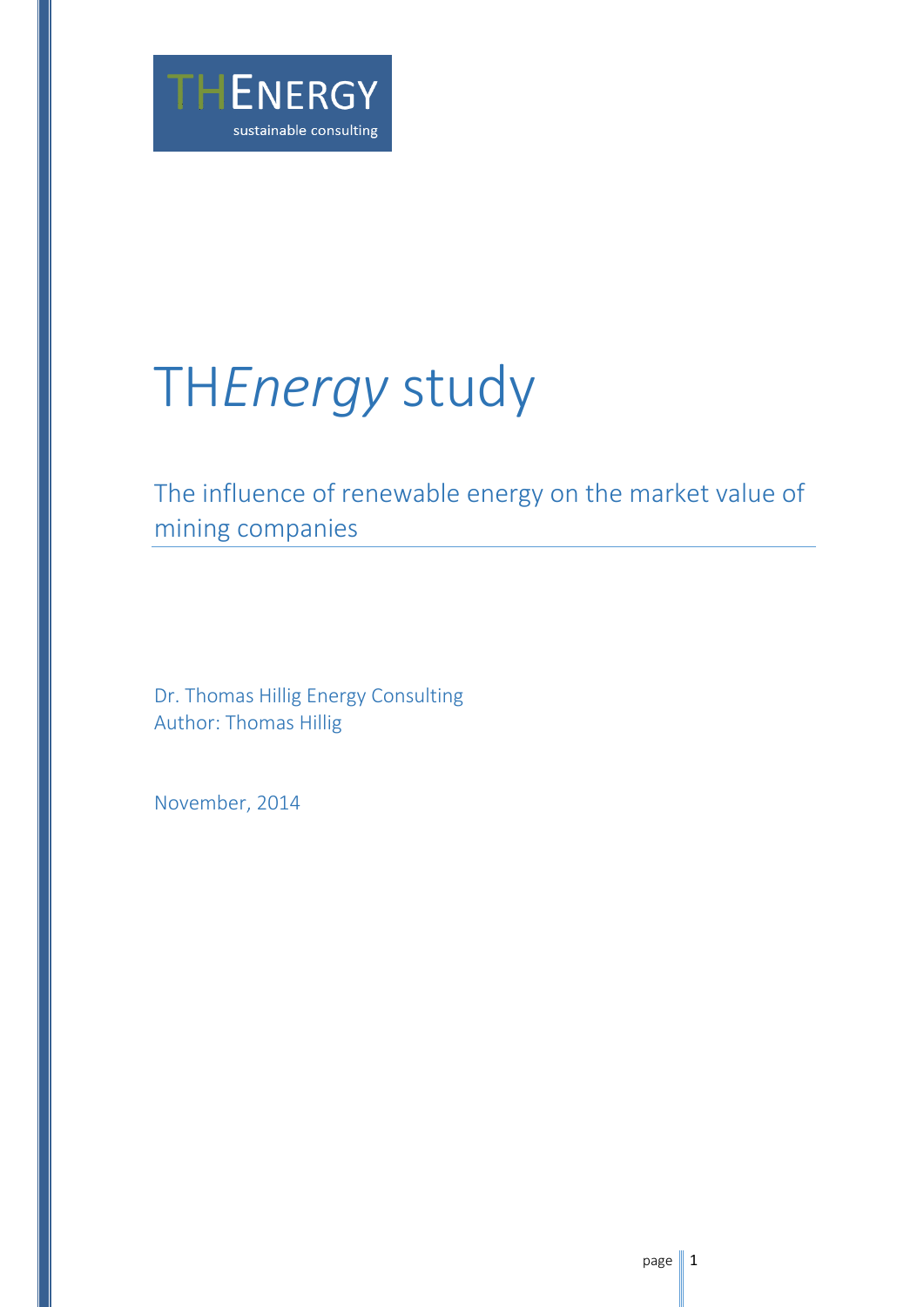

# TH*Energy* study

The influence of renewable energy on the market value of mining companies

Dr. Thomas Hillig Energy Consulting Author: Thomas Hillig

November, 2014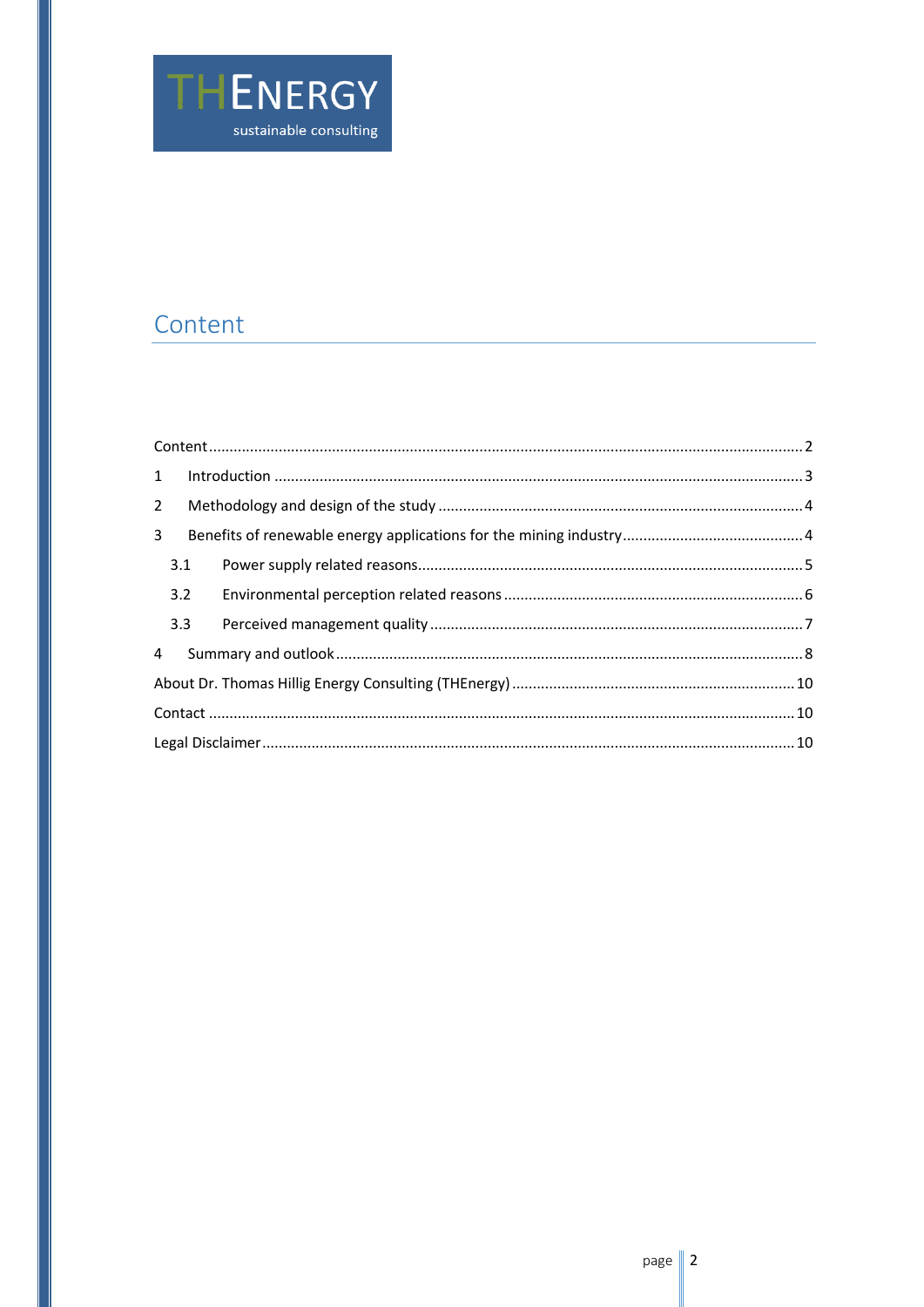

# <span id="page-1-0"></span>Content

| 3 <sup>7</sup> |     |  |  |  |
|----------------|-----|--|--|--|
|                | 3.1 |  |  |  |
|                | 3.2 |  |  |  |
|                |     |  |  |  |
|                |     |  |  |  |
|                |     |  |  |  |
|                |     |  |  |  |
|                |     |  |  |  |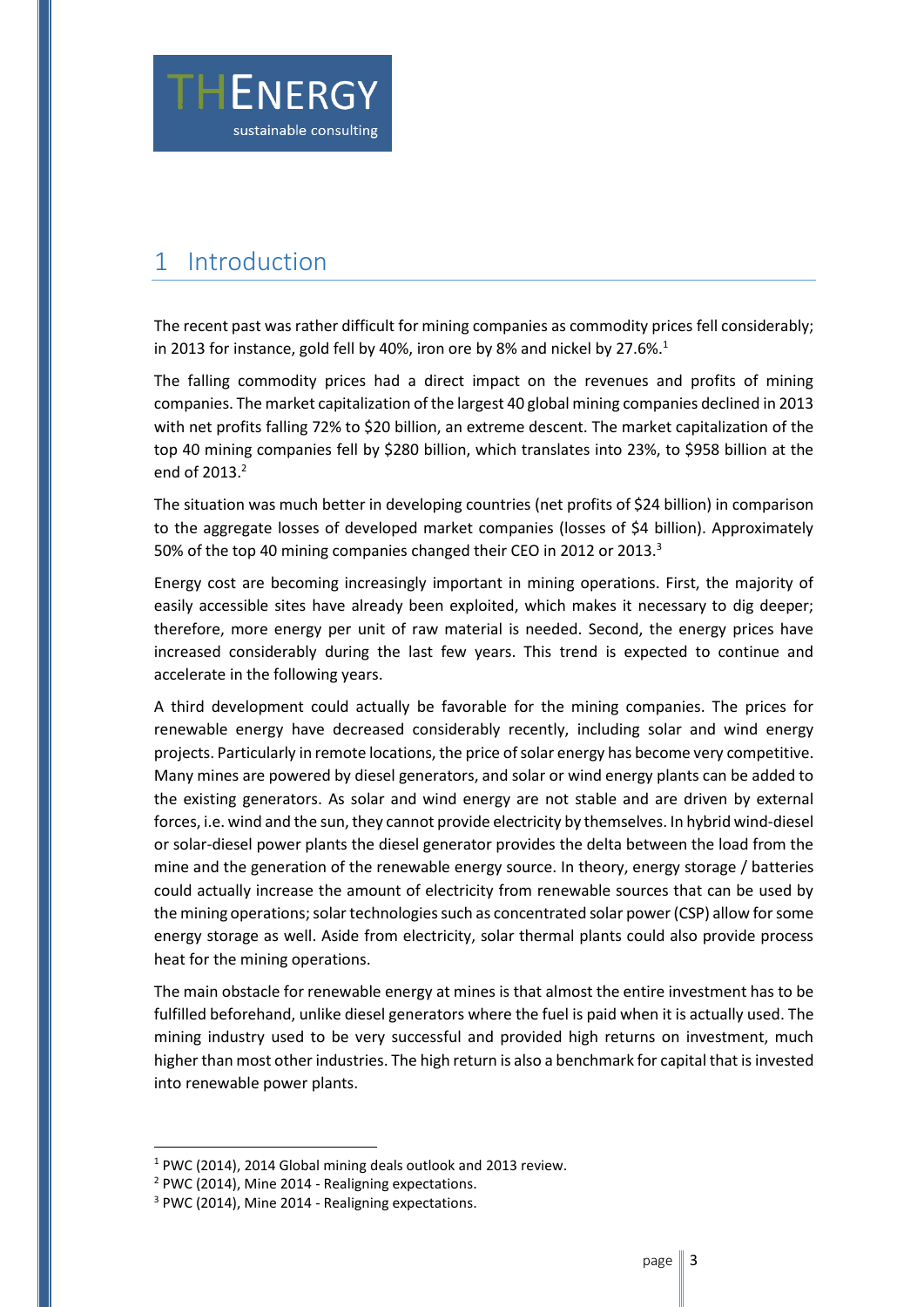

## <span id="page-2-0"></span>1 Introduction

The recent past was rather difficult for mining companies as commodity prices fell considerably; in 2013 for instance, gold fell by 40%, iron ore by 8% and nickel by 27.6%.<sup>1</sup>

The falling commodity prices had a direct impact on the revenues and profits of mining companies. The market capitalization of the largest 40 global mining companies declined in 2013 with net profits falling 72% to \$20 billion, an extreme descent. The market capitalization of the top 40 mining companies fell by \$280 billion, which translates into 23%, to \$958 billion at the end of  $2013.<sup>2</sup>$ 

The situation was much better in developing countries (net profits of \$24 billion) in comparison to the aggregate losses of developed market companies (losses of \$4 billion). Approximately 50% of the top 40 mining companies changed their CEO in 2012 or 2013.<sup>3</sup>

Energy cost are becoming increasingly important in mining operations. First, the majority of easily accessible sites have already been exploited, which makes it necessary to dig deeper; therefore, more energy per unit of raw material is needed. Second, the energy prices have increased considerably during the last few years. This trend is expected to continue and accelerate in the following years.

A third development could actually be favorable for the mining companies. The prices for renewable energy have decreased considerably recently, including solar and wind energy projects. Particularly in remote locations, the price of solar energy has become very competitive. Many mines are powered by diesel generators, and solar or wind energy plants can be added to the existing generators. As solar and wind energy are not stable and are driven by external forces, i.e. wind and the sun, they cannot provide electricity by themselves. In hybrid wind-diesel or solar-diesel power plants the diesel generator provides the delta between the load from the mine and the generation of the renewable energy source. In theory, energy storage / batteries could actually increase the amount of electricity from renewable sources that can be used by the mining operations; solar technologies such as concentrated solar power (CSP) allow for some energy storage as well. Aside from electricity, solar thermal plants could also provide process heat for the mining operations.

The main obstacle for renewable energy at mines is that almost the entire investment has to be fulfilled beforehand, unlike diesel generators where the fuel is paid when it is actually used. The mining industry used to be very successful and provided high returns on investment, much higher than most other industries. The high return is also a benchmark for capital that is invested into renewable power plants.

<sup>1</sup> PWC (2014), 2014 Global mining deals outlook and 2013 review.

<sup>2</sup> PWC (2014), Mine 2014 - Realigning expectations.

<sup>&</sup>lt;sup>3</sup> PWC (2014), Mine 2014 - Realigning expectations.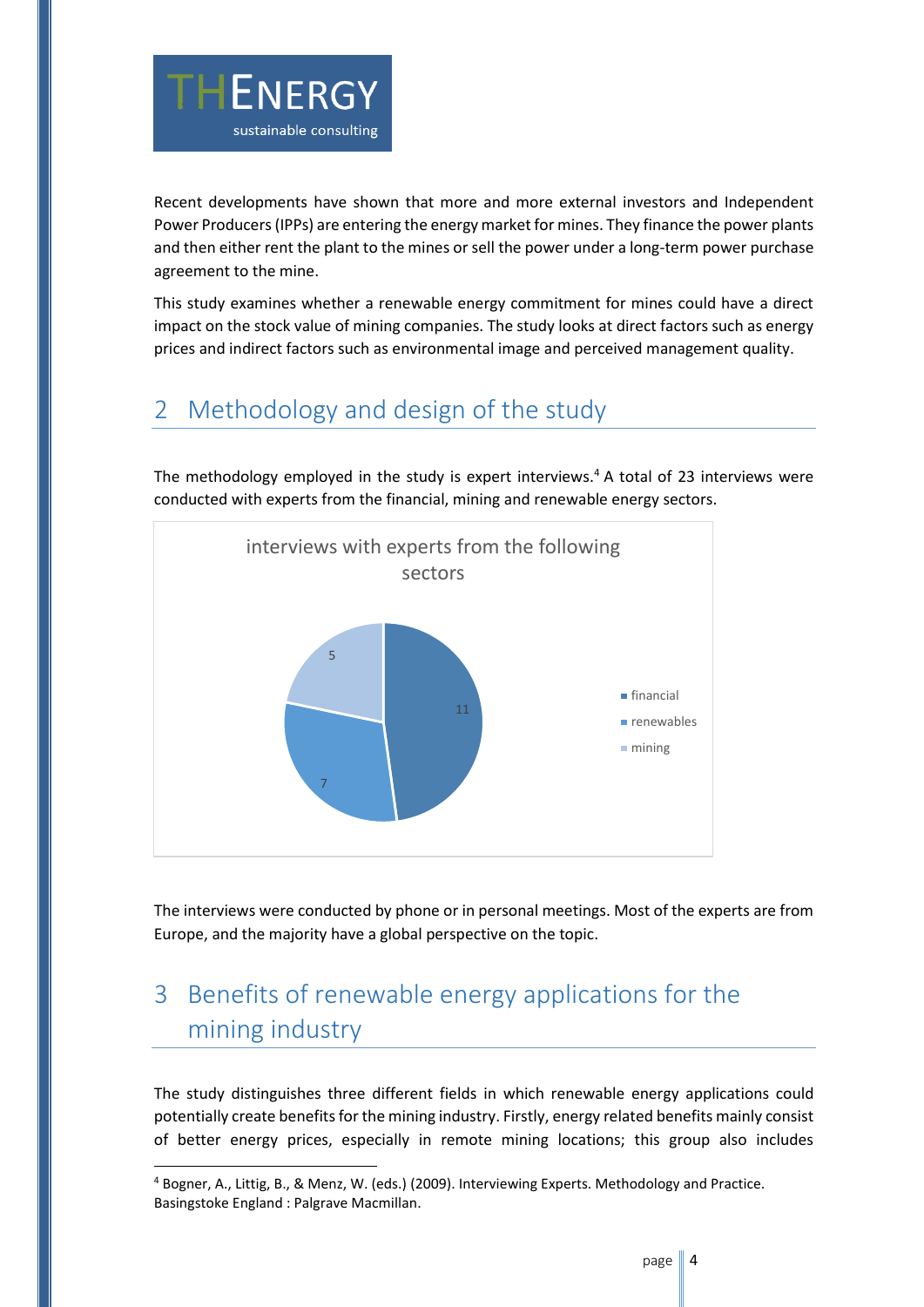

Recent developments have shown that more and more external investors and Independent Power Producers (IPPs) are entering the energy market for mines. They finance the power plants and then either rent the plant to the mines or sell the power under a long-term power purchase agreement to the mine.

This study examines whether a renewable energy commitment for mines could have a direct impact on the stock value of mining companies. The study looks at direct factors such as energy prices and indirect factors such as environmental image and perceived management quality.

## <span id="page-3-0"></span>2 Methodology and design of the study

The methodology employed in the study is expert interviews.<sup>4</sup> A total of 23 interviews were conducted with experts from the financial, mining and renewable energy sectors.



The interviews were conducted by phone or in personal meetings. Most of the experts are from Europe, and the majority have a global perspective on the topic.

# <span id="page-3-1"></span>3 Benefits of renewable energy applications for the mining industry

The study distinguishes three different fields in which renewable energy applications could potentially create benefits for the mining industry. Firstly, energy related benefits mainly consist of better energy prices, especially in remote mining locations; this group also includes

<sup>4</sup> Bogner, A., Littig, B., & Menz, W. (eds.) (2009). Interviewing Experts. Methodology and Practice. Basingstoke England : Palgrave Macmillan.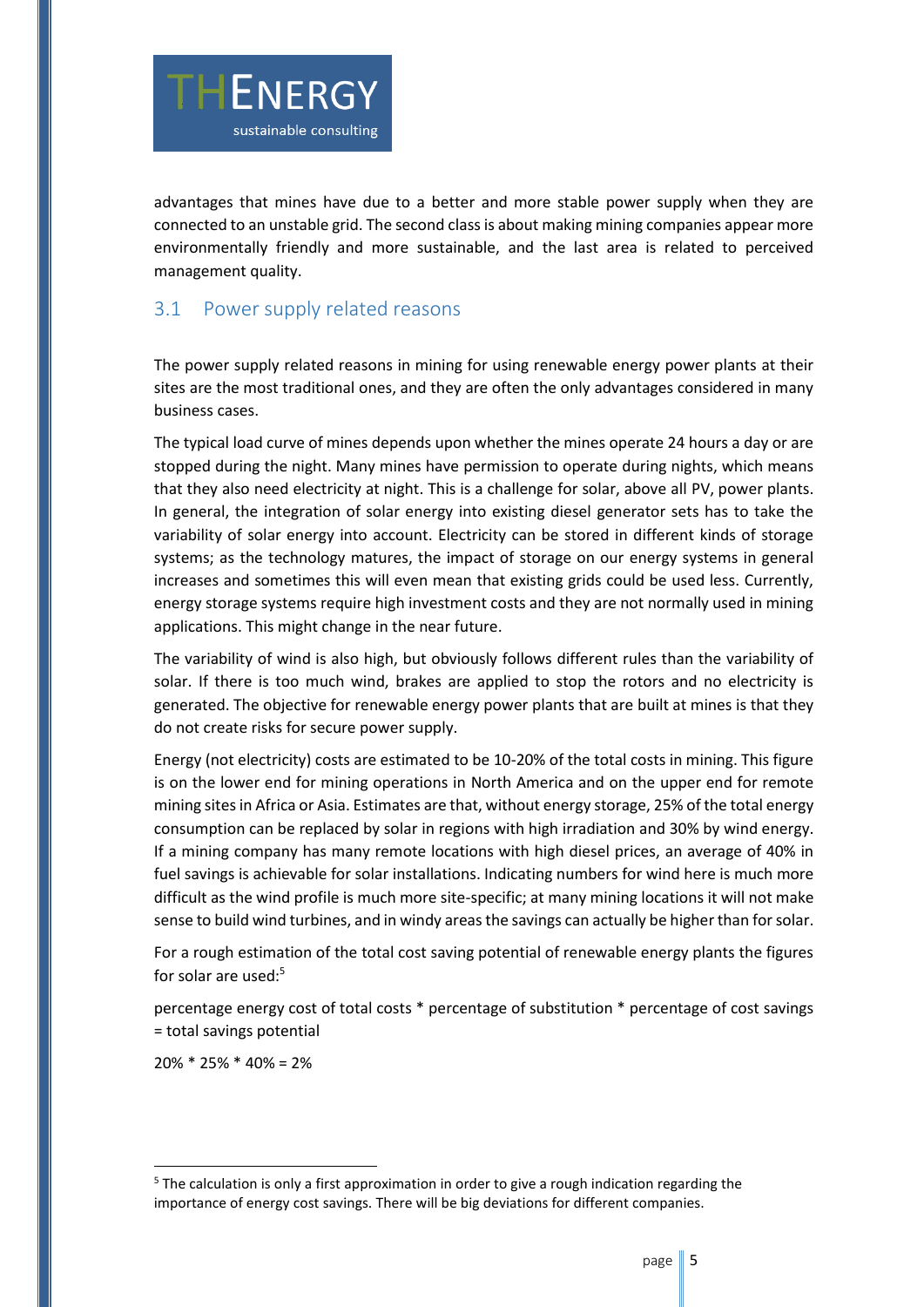

advantages that mines have due to a better and more stable power supply when they are connected to an unstable grid. The second class is about making mining companies appear more environmentally friendly and more sustainable, and the last area is related to perceived management quality.

#### <span id="page-4-0"></span>3.1 Power supply related reasons

The power supply related reasons in mining for using renewable energy power plants at their sites are the most traditional ones, and they are often the only advantages considered in many business cases.

The typical load curve of mines depends upon whether the mines operate 24 hours a day or are stopped during the night. Many mines have permission to operate during nights, which means that they also need electricity at night. This is a challenge for solar, above all PV, power plants. In general, the integration of solar energy into existing diesel generator sets has to take the variability of solar energy into account. Electricity can be stored in different kinds of storage systems; as the technology matures, the impact of storage on our energy systems in general increases and sometimes this will even mean that existing grids could be used less. Currently, energy storage systems require high investment costs and they are not normally used in mining applications. This might change in the near future.

The variability of wind is also high, but obviously follows different rules than the variability of solar. If there is too much wind, brakes are applied to stop the rotors and no electricity is generated. The objective for renewable energy power plants that are built at mines is that they do not create risks for secure power supply.

Energy (not electricity) costs are estimated to be 10-20% of the total costs in mining. This figure is on the lower end for mining operations in North America and on the upper end for remote mining sites in Africa or Asia. Estimates are that, without energy storage, 25% of the total energy consumption can be replaced by solar in regions with high irradiation and 30% by wind energy. If a mining company has many remote locations with high diesel prices, an average of 40% in fuel savings is achievable for solar installations. Indicating numbers for wind here is much more difficult as the wind profile is much more site-specific; at many mining locations it will not make sense to build wind turbines, and in windy areas the savings can actually be higher than for solar.

For a rough estimation of the total cost saving potential of renewable energy plants the figures for solar are used: $5$ 

percentage energy cost of total costs \* percentage of substitution \* percentage of cost savings = total savings potential

 $20\% * 25\% * 40\% = 2\%$ 

<sup>&</sup>lt;sup>5</sup> The calculation is only a first approximation in order to give a rough indication regarding the importance of energy cost savings. There will be big deviations for different companies.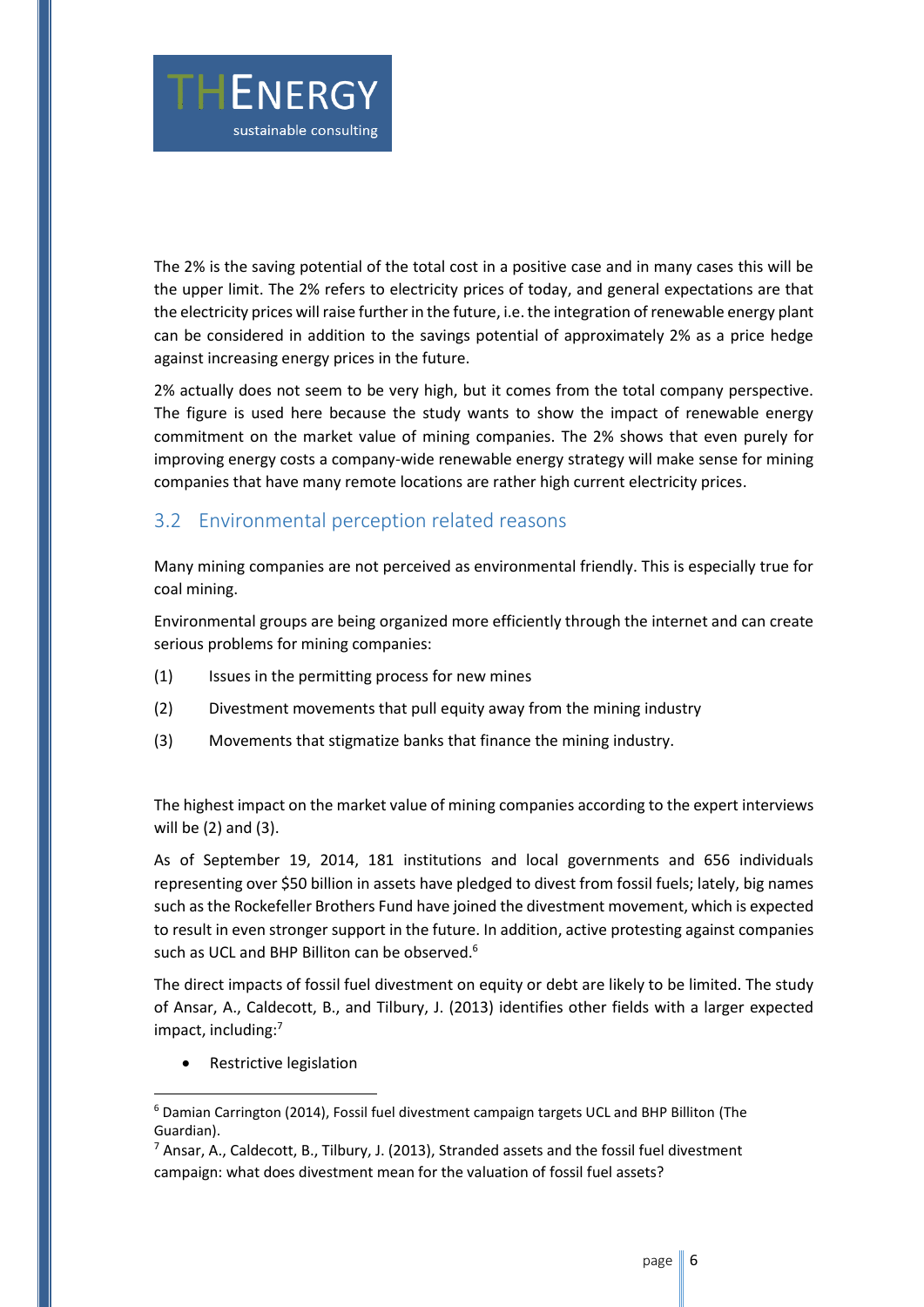

The 2% is the saving potential of the total cost in a positive case and in many cases this will be the upper limit. The 2% refers to electricity prices of today, and general expectations are that the electricity prices will raise further in the future, i.e. the integration of renewable energy plant can be considered in addition to the savings potential of approximately 2% as a price hedge against increasing energy prices in the future.

2% actually does not seem to be very high, but it comes from the total company perspective. The figure is used here because the study wants to show the impact of renewable energy commitment on the market value of mining companies. The 2% shows that even purely for improving energy costs a company-wide renewable energy strategy will make sense for mining companies that have many remote locations are rather high current electricity prices.

#### <span id="page-5-0"></span>3.2 Environmental perception related reasons

Many mining companies are not perceived as environmental friendly. This is especially true for coal mining.

Environmental groups are being organized more efficiently through the internet and can create serious problems for mining companies:

- (1) Issues in the permitting process for new mines
- (2) Divestment movements that pull equity away from the mining industry
- (3) Movements that stigmatize banks that finance the mining industry.

The highest impact on the market value of mining companies according to the expert interviews will be (2) and (3).

As of September 19, 2014, 181 institutions and local governments and 656 individuals representing over \$50 billion in assets have pledged to divest from fossil fuels; lately, big names such as the Rockefeller Brothers Fund have joined the divestment movement, which is expected to result in even stronger support in the future. In addition, active protesting against companies such as UCL and BHP Billiton can be observed.<sup>6</sup>

The direct impacts of fossil fuel divestment on equity or debt are likely to be limited. The study of Ansar, A., Caldecott, B., and Tilbury, J. (2013) identifies other fields with a larger expected impact, including:<sup>7</sup>

• Restrictive legislation

 $6$  Damian Carrington (2014), Fossil fuel divestment campaign targets UCL and BHP Billiton (The Guardian).

 $^7$  Ansar, A., Caldecott, B., Tilbury, J. (2013), Stranded assets and the fossil fuel divestment campaign: what does divestment mean for the valuation of fossil fuel assets?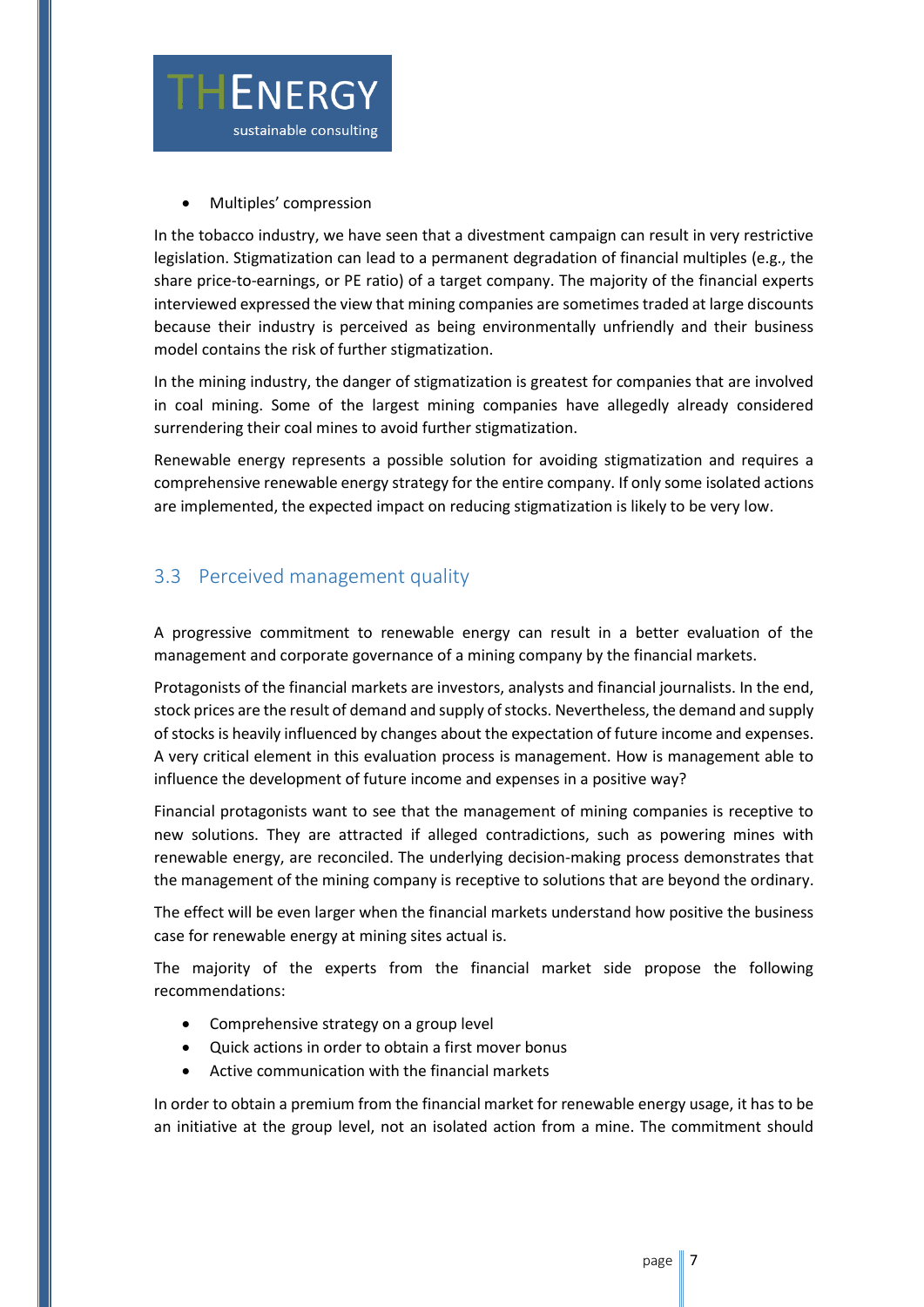

Multiples' compression

In the tobacco industry, we have seen that a divestment campaign can result in very restrictive legislation. Stigmatization can lead to a permanent degradation of financial multiples (e.g., the share price-to-earnings, or PE ratio) of a target company. The majority of the financial experts interviewed expressed the view that mining companies are sometimes traded at large discounts because their industry is perceived as being environmentally unfriendly and their business model contains the risk of further stigmatization.

In the mining industry, the danger of stigmatization is greatest for companies that are involved in coal mining. Some of the largest mining companies have allegedly already considered surrendering their coal mines to avoid further stigmatization.

Renewable energy represents a possible solution for avoiding stigmatization and requires a comprehensive renewable energy strategy for the entire company. If only some isolated actions are implemented, the expected impact on reducing stigmatization is likely to be very low.

#### <span id="page-6-0"></span>3.3 Perceived management quality

A progressive commitment to renewable energy can result in a better evaluation of the management and corporate governance of a mining company by the financial markets.

Protagonists of the financial markets are investors, analysts and financial journalists. In the end, stock prices are the result of demand and supply of stocks. Nevertheless, the demand and supply of stocks is heavily influenced by changes about the expectation of future income and expenses. A very critical element in this evaluation process is management. How is management able to influence the development of future income and expenses in a positive way?

Financial protagonists want to see that the management of mining companies is receptive to new solutions. They are attracted if alleged contradictions, such as powering mines with renewable energy, are reconciled. The underlying decision-making process demonstrates that the management of the mining company is receptive to solutions that are beyond the ordinary.

The effect will be even larger when the financial markets understand how positive the business case for renewable energy at mining sites actual is.

The majority of the experts from the financial market side propose the following recommendations:

- Comprehensive strategy on a group level
- Quick actions in order to obtain a first mover bonus
- Active communication with the financial markets

In order to obtain a premium from the financial market for renewable energy usage, it has to be an initiative at the group level, not an isolated action from a mine. The commitment should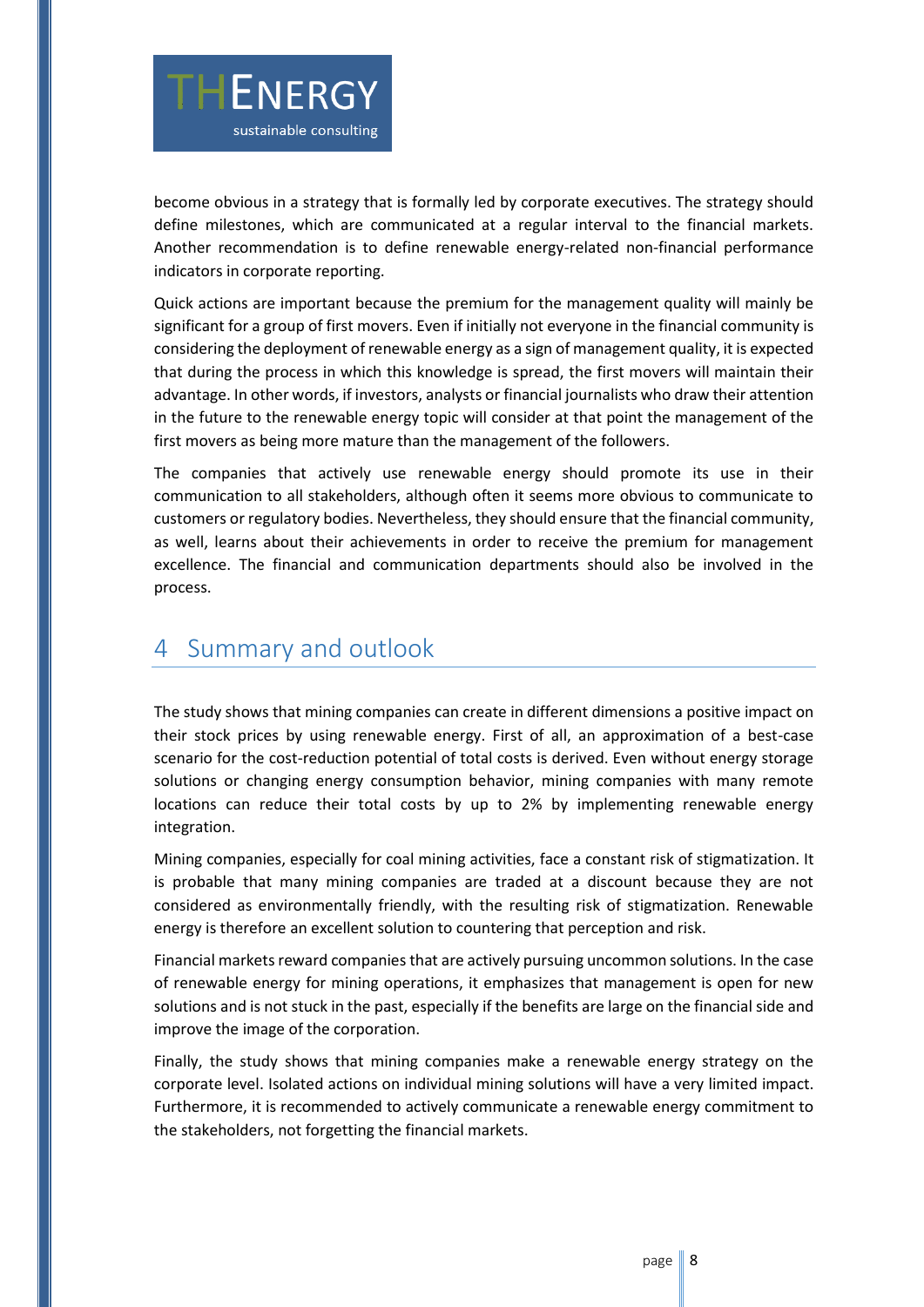

become obvious in a strategy that is formally led by corporate executives. The strategy should define milestones, which are communicated at a regular interval to the financial markets. Another recommendation is to define renewable energy-related non-financial performance indicators in corporate reporting.

Quick actions are important because the premium for the management quality will mainly be significant for a group of first movers. Even if initially not everyone in the financial community is considering the deployment of renewable energy as a sign of management quality, it is expected that during the process in which this knowledge is spread, the first movers will maintain their advantage. In other words, if investors, analysts or financial journalists who draw their attention in the future to the renewable energy topic will consider at that point the management of the first movers as being more mature than the management of the followers.

The companies that actively use renewable energy should promote its use in their communication to all stakeholders, although often it seems more obvious to communicate to customers or regulatory bodies. Nevertheless, they should ensure that the financial community, as well, learns about their achievements in order to receive the premium for management excellence. The financial and communication departments should also be involved in the process.

## <span id="page-7-0"></span>4 Summary and outlook

The study shows that mining companies can create in different dimensions a positive impact on their stock prices by using renewable energy. First of all, an approximation of a best-case scenario for the cost-reduction potential of total costs is derived. Even without energy storage solutions or changing energy consumption behavior, mining companies with many remote locations can reduce their total costs by up to 2% by implementing renewable energy integration.

Mining companies, especially for coal mining activities, face a constant risk of stigmatization. It is probable that many mining companies are traded at a discount because they are not considered as environmentally friendly, with the resulting risk of stigmatization. Renewable energy is therefore an excellent solution to countering that perception and risk.

Financial markets reward companies that are actively pursuing uncommon solutions. In the case of renewable energy for mining operations, it emphasizes that management is open for new solutions and is not stuck in the past, especially if the benefits are large on the financial side and improve the image of the corporation.

Finally, the study shows that mining companies make a renewable energy strategy on the corporate level. Isolated actions on individual mining solutions will have a very limited impact. Furthermore, it is recommended to actively communicate a renewable energy commitment to the stakeholders, not forgetting the financial markets.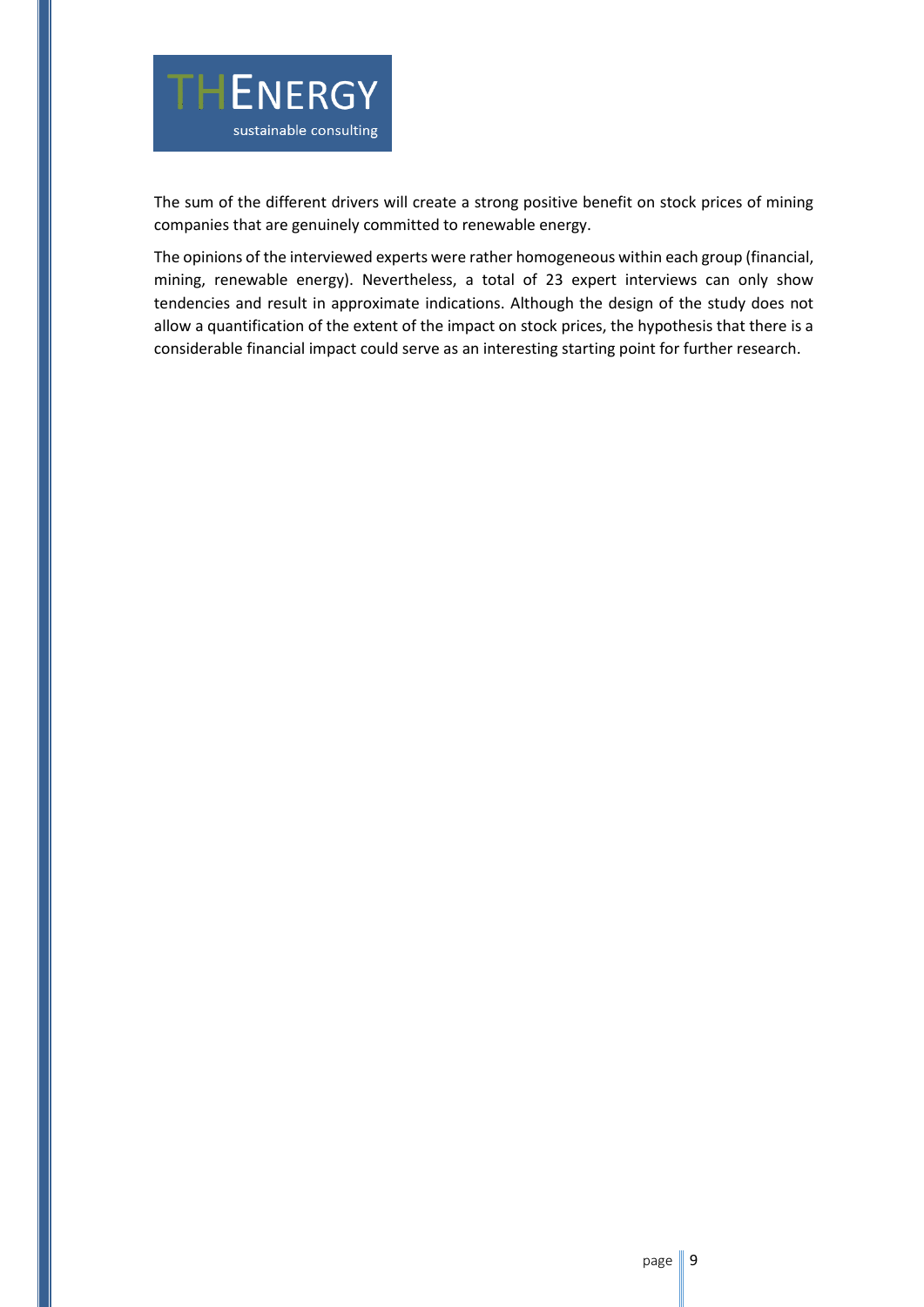

The sum of the different drivers will create a strong positive benefit on stock prices of mining companies that are genuinely committed to renewable energy.

The opinions of the interviewed experts were rather homogeneous within each group (financial, mining, renewable energy). Nevertheless, a total of 23 expert interviews can only show tendencies and result in approximate indications. Although the design of the study does not allow a quantification of the extent of the impact on stock prices, the hypothesis that there is a considerable financial impact could serve as an interesting starting point for further research.